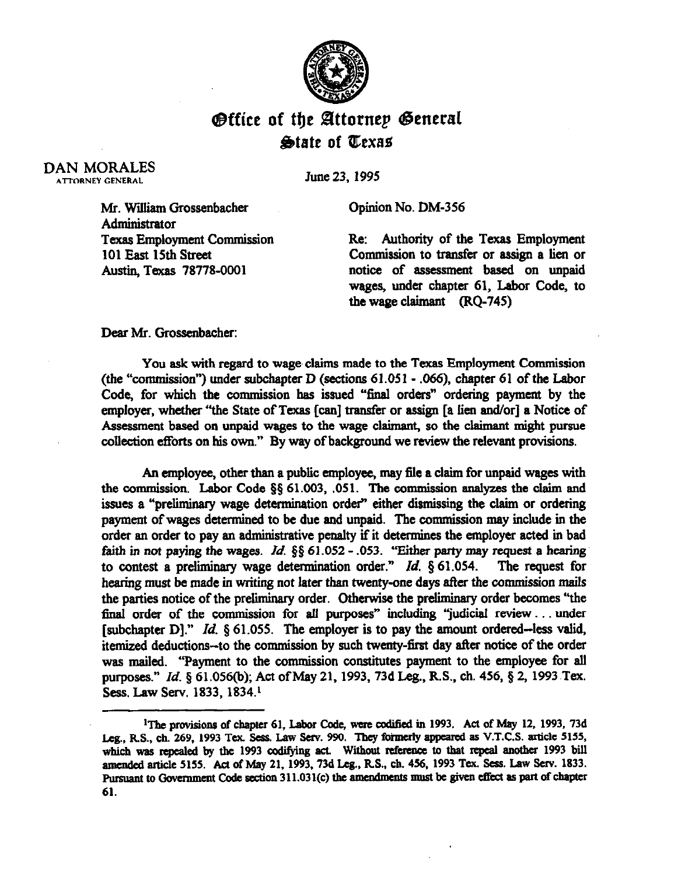

## **Office of the Attorney General State of Texas**

DAN MORALES ATTORNEY GENERAL

June 23,1995

Opinion No. DM-356

Mr. William Grossenbacher **Adminis** Texas Bmployment Commission 101 Bast 15th street Austin, Texas 78778-0001

Re: Authority of the Texas Employment Commission to transfer or assign a lien or notice of assessment based on unpaid wages, under chapter 61, Labor Code, to the wage claimant (RQ-745)

Dear Mr. Grossenbacher:

You ask with regard to wage claims made to the Texas Bmployment Commission (the "commission") under subchapter D (sections  $61.051 - .066$ ), chapter 61 of the Labor Code, for which the commission has issued "final orders" ordering payment by the employer, whether "the State of Texas [can] transfer or assign [a lien and/or] a Notice of Assessment based on unpaid wages to the wage claimant, so the claimant might pursue collection efforts on his own." By way of background we review the relevant provisions.

An employee, other than a public employee, may file a claim for unpaid wages with the commission. Labor Code \$5 61.003, ,051. The commission analyzes the claim and issues a "preliminary wage determination order" either dismissing the claim or ordering payment of wages determined to be due and unpaid. The commission may include in the order an order to pay an administrative penalty if it determines the employer acted in bad faith in not paying the wages. *Id.* §§ 61.052 - .053. "Either party may request a hearing to contest a preliminary wage determination order." *Id.* § 61.054. The request for to contest a preliminary wage determination order." *Id.* § 61.054. hearing must be made in writing not later than twenty-one days after the commission mails the parties notice of the preliminary order. Otherwise the preliminary order becomes "the final order of the commission for all purposes" including "judicial review...under [subchapter D]." *Id. §* 61.055. The employer is to pay the amount ordered-less valid, itemized deductions--to the commission by such twenty-first day after notice of the order was mailed. "Payment to the commission constitutes payment to the employee for all purposes." *Id.* § 61.056(b); Act of May 21, 1993, 73d Leg., R.S., ch. 456, § 2, 1993 Tex. Sess. Law Serv. 1833, 1834.'

<sup>&</sup>lt;sup>1</sup>The provisions of chapter 61, Labor Code, were codified in 1993. Act of May 12, 1993, 73d Leg., R.S., ch. 269, 1993 Tex. Sess. Law Serv. 990. They formerly appeared as V.T.C.S. article 5155, Leg., R.S., ch. 269, 1993 Tex. Sess. Law Serv. 990. They formerly appeared as V.T.C.S. arrive 5155, which was repeated by the 1993 countying act. Without reference to that repeat another 1993 bill amended article 5155. Act of May 21, 1993, 73d Leg., R.S., ch. 456, 1993 Tex. Sess. Law Serv. 1833. Pursuant to Government Code section 311.031(c) the amendments must be given effect as part of chapter **61.**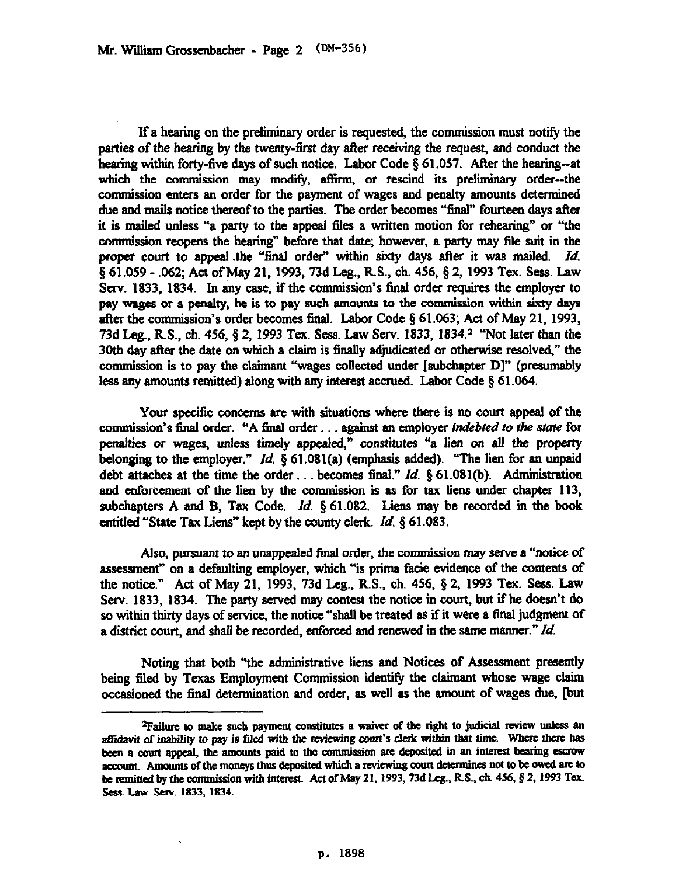If a hearing on the preliminary order is requested, the commission must notify the parties of the hearing by the twenty-first day after receiving the request, and conduct the hearing within forty-five days of such notice. Labor Code  $\delta$  61.057. After the hearing--at which the commission may modify, affirm, or rescind its preliminary order--the commission enters an order for the payment of wages and penalty amounts determined due and mails notice thereof to the parties. The order becomes "final" fourteen days after it is mailed unless "a party to the appeal files a written motion for rehearing" or "the commission reopens the hearing" before that date, however, a party may file suit in the proper court to appeal the "final order" within sixty days after it was mailed. *Id.* § 61.059 - .062; Act of May 21, 1993, 73d Leg., R.S., ch. 456, § 2, 1993 Tex. Sess. Law Setv. 1833, 1834. In any case, if the commission's final order requires the employer to pay wages or a penalty, he is to pay such amounts to the commission within sixty days after the commission's order becomes final. Labor Code  $\delta$  61.063; Act of May 21, 1993, 73d Leg., RS., ch. 456, § 2, 1993 Tex. Sess. Law Serv. 1833, 1834.2 "Not later than the 30th day after the date on which a claim is tinally adjudicated or otherwise resolved," the commission is to pay the claimant "wages collected under  $[subchapter D]'$ " (presumably less any amounts remitted) along with any interest accrued. Labor Code § 61.064.

Your specitic concerns are with situations where there is no court appeal of the commission's tinal order. "A final order . . against an employer *indebted to the state* for penalties or wages, unless timely appealed," constitutes "a lien on all the property belonging to the employer." *Id.* 5 61.081(a) (emphasis added). "The lien for an unpaid debt attaches at the time the order. . becomes final." *Id. 5* 61.081(b). Administration and enforcement of the lien by the commission is as for tax liens under chapter 113, subchapters A and B, Tax Code. *Id. 5* 61.082. Liens may be recorded in the book entitled "State Tax Liens" kept by the county clerk. *Id. 5 61.083.* 

Also, pursuant to an unappealed final order, the commission may serve a "notice of assessment" on a defaulting employer, which "is prima facie evidence of the contents of the notice." Act of May 21, 1993, 73d Leg., R.S., ch. 456, \$2, 1993 Tex. Sess. Law Serv. 1833, 1834. The party served may contest the notice in court, but if he doesn't do so within thirty days of service, the notice "shall be treated as if it were a final judgment of a district court, and shall be recorded, enforced and renewed in the same manner." *Id.* 

Noting that both "the administrative liens and Notices of Assessment presently being filed by Texas Employment Commission identify the claimant whose wage claim occasioned the final determination and order, as well as the amount of wages due, [but

<sup>&</sup>lt;sup>2</sup>Failure to make such payment constitutes a waiver of the right to judicial review unless an affidavit of inability to pay is filed with the reviewing court's clerk within that time. Where there has been a court appeal, the amounts paid to the commission are deposited in an interest bearing escrow account. Amounts of the moneys thus deposited which a reviewing court determines not to be owed are to be remitted by the commission with interest. Act of May 21, 1993, 73d Leg., R.S., ch. 456, § 2, 1993 Tex. Sess. Law. Serv. 1833, 1834.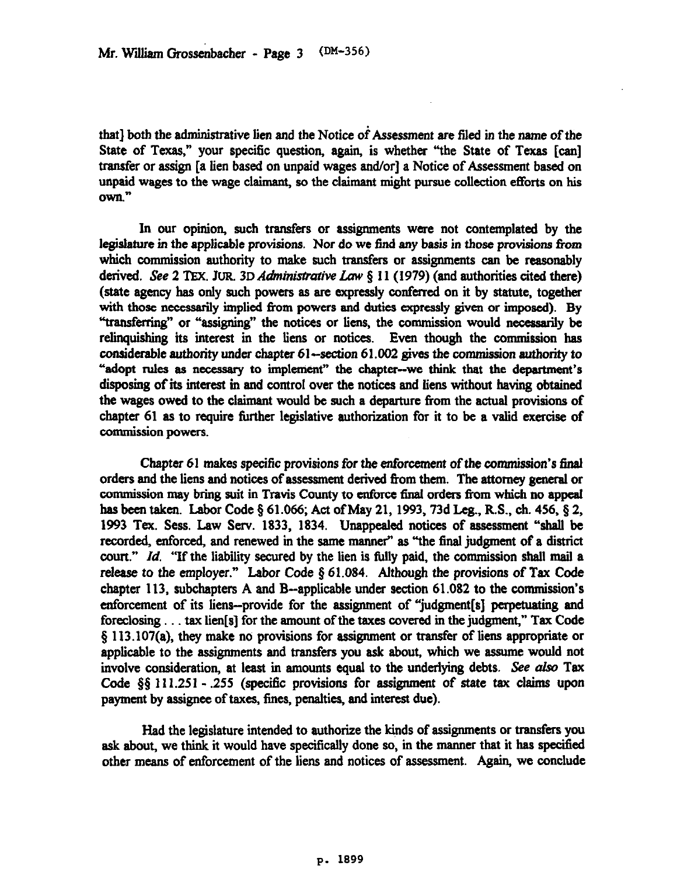that] both the administrative lien and the Notice of Assessment are filed in the name of the State of Texas," your specific question, again is whether "the State of Texas [can] transfer or assign [a lien based on unpaid wages and/or] a Notice of Assessment based on unpaid wages to the wage claimant, so the claimant might pursue collection efforts on his own."

In our opinion, such transfers or assignments were not contemplated by the legislature in the applicable provisions. Nor do we find any basis in those provisions from which commission authority to make such transfers or assignments can be reasonably derived. See 2 TEX. JUR. 3D *Administrative Law* § 11 (1979) (and authorities cited there) (state agency has only such powers as are expressly wnferred on it by statute, together with those necessarily implied from powers and duties expressly given or imposed). By "transferring" or "assigning" the notices or liens, the commission would necessarily be relinquishing its interest in the liens or notices. Even though the commission has considerable authority under chapter 61 *-section* 61.002 gives the *wmmission authority to*  "adopt rules as necessary to implement" the chapter--we think that the department's disposing of its interest in and control over the notices and liens without having obtained the wages owed to the claimant would be such a departure from the actual provisions of chapter 61 as to require further legislative authorization for it to be a valid exercise of commission powers.

Chapter 61 makes specific provisions for the enforcement of the *commission's* final orders and the hens and notices of assessment derived from them. The attorney general or commission may bring suit in Travis County to enforce final orders from which no appeal has been taken. Labor Code  $\S 61.066$ ; Act of May 21, 1993, 73d Leg., R.S., ch. 456,  $\S 2$ , 1993 Tex. Sess. Law Serv. 1833, 1834. Unappealed notices of assessment "shall be recorded, enforced, and renewed in the same manner" as "the final judgment of a district court." *Id.* "If the liability secured by the lien is fully paid, the commission shall mail a release to the employer." Labor Code  $\S 61.084$ . Although the provisions of Tax Code chapter 113, subchapters A and B--applicable under section  $61.082$  to the commission's enforcement of its liens-provide for the assignment of "judgment[s] perpetuating and foreclosing. . . tax lien[s] for the amount of the taxes covered in the judgment," Tax Code 5 113.107(a), they make no provisions for assignment or transfer of liens appropriate or applicable to the assignments and transfers you ask about, which we assume would not involve consideration, at least in amounts equal to the underlying debts. See also Tax Code  $\S$ § 111.251 - .255 (specific provisions for assignment of state tax claims upon payment by assignee of taxes, fines, penalties, and interest due).

Had the legislature intended to authorize the kinds of assignments or transfers you ask about, we think it would have specifically done so, in the manner that it has specitied other means of enforcement of the hens and notices of assessment. Again we conclude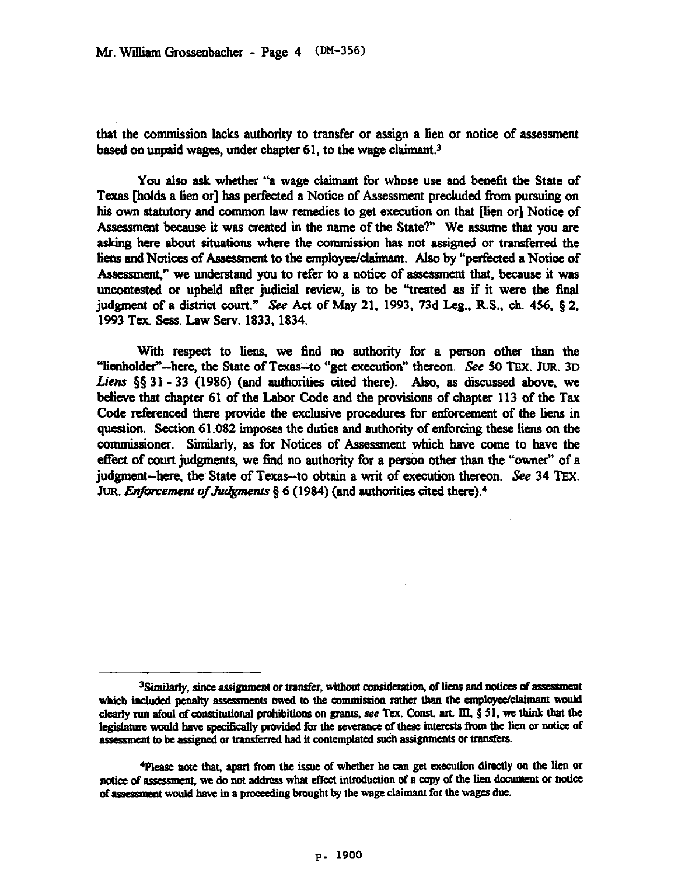that the commission lacks authority to transfer or assign a lien or notice of assessment based on unpaid wages, under chapter  $61$ , to the wage claimant.<sup>3</sup>

You also ask whether "a wage claimant for whose use and benetit the State of Texas [holds a hen or] has perfected a Notice of Assessment precluded from pursuing on his own statutory and common law remedies to get execution on that [lien or] Notice of Assessment because it was created in the name of the State?" We assume that you are asking here about situations where the commission has not assigned or transferred the liens and Notices of Assessment to the employee/claimant. Also by "perfected a Notice of Assessment," we understand you to refer to a notice of assessment that, because it was uncontested or upheld after judicial review, is to be "treated as if it were the final judgment of a district court." See Act of May 21, 1993, 73d Leg., R.S., ch. 456, § 2, 1993 Tex. Sess. Law Serv. 1833,1834.

With respect to liens, we find no authority for a person other than the "lienholder"-here, the State of Texas-to "get execution" thereon. See 50 TEX. JUR. 3D Liens  $\S$ § 31 - 33 (1986) (and authorities cited there). Also, as discussed above, we believe that chapter 61 of the Labor Code and the provisions of chapter 113 of the Tax Code referenced there provide the exclusive procedures for enforcement of the hens in question. Section 61.082 imposes the duties and authority of enforcing these liens on the commissioner. Similarly, as for Notices of Assessment which have come to have the effect of court judgments, we find no authority for a person other than the "owner" of a judgment-here, the State of Texas-to obtain a writ of execution thereon. See 34 TEX. JUR. *Enforcement of Judgments* § 6 (1984) (and authorities cited there).<sup>4</sup>

<sup>&</sup>lt;sup>3</sup>Similarly, since assignment or transfer, without consideration, of liens and notices of assessment which included penalty assessments owed to the commission rather than the employee/claimant would clearly run afoul of constitutional prohibitions on grants, see Tex. Const. art. III, § 51, we think that the clearly run alout of constitutional prohibitions on grants, see Tex. Comst. art. **III, 5 51, we think that the** legislature would have specifically provided for the severance of these interests from the lien or nodice of assessment to be assigned or transferred had it contemplated such assignments or transfers.

<sup>&</sup>lt;sup>4</sup>Please note that, apart from the issue of whether he can get execution directly on the lien or notice of assessment, we do not address what effect introduction of a copy of the lien document or notice of assessment would have in a proceeding brought by the wage claimant for the wages due.